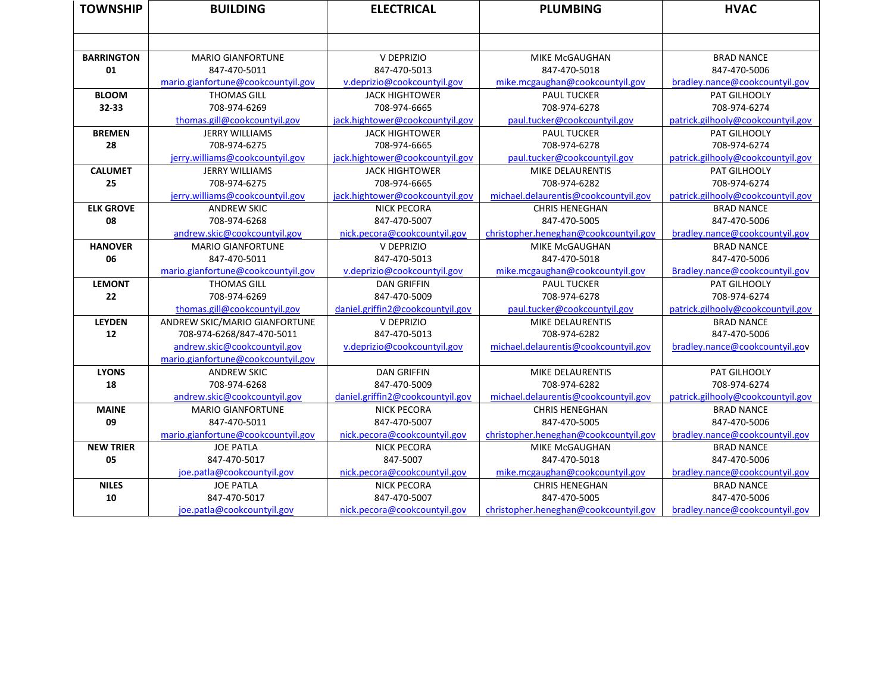| <b>TOWNSHIP</b>   | <b>BUILDING</b>                    | <b>ELECTRICAL</b>                | <b>PLUMBING</b>                       | <b>HVAC</b>                       |
|-------------------|------------------------------------|----------------------------------|---------------------------------------|-----------------------------------|
|                   |                                    |                                  |                                       |                                   |
| <b>BARRINGTON</b> | <b>MARIO GIANFORTUNE</b>           | V DEPRIZIO                       | MIKE McGAUGHAN                        | <b>BRAD NANCE</b>                 |
| 01                | 847-470-5011                       | 847-470-5013                     | 847-470-5018                          | 847-470-5006                      |
|                   | mario.gianfortune@cookcountyil.gov | v.deprizio@cookcountyil.gov      | mike.mcgaughan@cookcountyil.gov       | bradley.nance@cookcountyil.gov    |
| <b>BLOOM</b>      | <b>THOMAS GILL</b>                 | <b>JACK HIGHTOWER</b>            | <b>PAUL TUCKER</b>                    | PAT GILHOOLY                      |
| $32 - 33$         | 708-974-6269                       | 708-974-6665                     | 708-974-6278                          | 708-974-6274                      |
|                   | thomas.gill@cookcountyil.gov       | jack.hightower@cookcountyil.gov  | paul.tucker@cookcountyil.gov          | patrick.gilhooly@cookcountyil.gov |
| <b>BREMEN</b>     | <b>JERRY WILLIAMS</b>              | <b>JACK HIGHTOWER</b>            | <b>PAUL TUCKER</b>                    | PAT GILHOOLY                      |
| 28                | 708-974-6275                       | 708-974-6665                     | 708-974-6278                          | 708-974-6274                      |
|                   | jerry.williams@cookcountyil.gov    | jack.hightower@cookcountyil.gov  | paul.tucker@cookcountyil.gov          | patrick.gilhooly@cookcountyil.gov |
| <b>CALUMET</b>    | <b>JERRY WILLIAMS</b>              | <b>JACK HIGHTOWER</b>            | MIKE DELAURENTIS                      | PAT GILHOOLY                      |
| 25                | 708-974-6275                       | 708-974-6665                     | 708-974-6282                          | 708-974-6274                      |
|                   | jerry.williams@cookcountyil.gov    | jack.hightower@cookcountyil.gov  | michael.delaurentis@cookcountyil.gov  | patrick.gilhooly@cookcountyil.gov |
| <b>ELK GROVE</b>  | <b>ANDREW SKIC</b>                 | <b>NICK PECORA</b>               | <b>CHRIS HENEGHAN</b>                 | <b>BRAD NANCE</b>                 |
| 08                | 708-974-6268                       | 847-470-5007                     | 847-470-5005                          | 847-470-5006                      |
|                   | andrew.skic@cookcountyil.gov       | nick.pecora@cookcountyil.gov     | christopher.heneghan@cookcountyil.gov | bradley.nance@cookcountyil.gov    |
| <b>HANOVER</b>    | <b>MARIO GIANFORTUNE</b>           | V DEPRIZIO                       | MIKE McGAUGHAN                        | <b>BRAD NANCE</b>                 |
| 06                | 847-470-5011                       | 847-470-5013                     | 847-470-5018                          | 847-470-5006                      |
|                   | mario.gianfortune@cookcountyil.gov | v.deprizio@cookcountyil.gov      | mike.mcgaughan@cookcountyil.gov       | Bradley.nance@cookcountyil.gov    |
| <b>LEMONT</b>     | <b>THOMAS GILL</b>                 | <b>DAN GRIFFIN</b>               | <b>PAUL TUCKER</b>                    | PAT GILHOOLY                      |
| 22                | 708-974-6269                       | 847-470-5009                     | 708-974-6278                          | 708-974-6274                      |
|                   | thomas.gill@cookcountyil.gov       | daniel.griffin2@cookcountyil.gov | paul.tucker@cookcountyil.gov          | patrick.gilhooly@cookcountyil.gov |
| <b>LEYDEN</b>     | ANDREW SKIC/MARIO GIANFORTUNE      | V DEPRIZIO                       | <b>MIKE DELAURENTIS</b>               | <b>BRAD NANCE</b>                 |
| 12                | 708-974-6268/847-470-5011          | 847-470-5013                     | 708-974-6282                          | 847-470-5006                      |
|                   | andrew.skic@cookcountyil.gov       | v.deprizio@cookcountyil.gov      | michael.delaurentis@cookcountyil.gov  | bradley.nance@cookcountyil.gov    |
|                   | mario.gianfortune@cookcountyil.gov |                                  |                                       |                                   |
| <b>LYONS</b>      | <b>ANDREW SKIC</b>                 | <b>DAN GRIFFIN</b>               | MIKE DELAURENTIS                      | PAT GILHOOLY                      |
| 18                | 708-974-6268                       | 847-470-5009                     | 708-974-6282                          | 708-974-6274                      |
|                   | andrew.skic@cookcountyil.gov       | daniel.griffin2@cookcountyil.gov | michael.delaurentis@cookcountyil.gov  | patrick.gilhooly@cookcountyil.gov |
| <b>MAINE</b>      | <b>MARIO GIANFORTUNE</b>           | <b>NICK PECORA</b>               | <b>CHRIS HENEGHAN</b>                 | <b>BRAD NANCE</b>                 |
| 09                | 847-470-5011                       | 847-470-5007                     | 847-470-5005                          | 847-470-5006                      |
|                   | mario.gianfortune@cookcountyil.gov | nick.pecora@cookcountyil.gov     | christopher.heneghan@cookcountyil.gov | bradley.nance@cookcountyil.gov    |
| <b>NEW TRIER</b>  | <b>JOE PATLA</b>                   | <b>NICK PECORA</b>               | MIKE McGAUGHAN                        | <b>BRAD NANCE</b>                 |
| 05                | 847-470-5017                       | 847-5007                         | 847-470-5018                          | 847-470-5006                      |
|                   | joe.patla@cookcountyil.gov         | nick.pecora@cookcountyil.gov     | mike.mcgaughan@cookcountyil.gov       | bradley.nance@cookcountyil.gov    |
| <b>NILES</b>      | <b>JOE PATLA</b>                   | <b>NICK PECORA</b>               | <b>CHRIS HENEGHAN</b>                 | <b>BRAD NANCE</b>                 |
| 10                | 847-470-5017                       | 847-470-5007                     | 847-470-5005                          | 847-470-5006                      |
|                   | joe.patla@cookcountyil.gov         | nick.pecora@cookcountyil.gov     | christopher.heneghan@cookcountyil.gov | bradley.nance@cookcountyil.gov    |